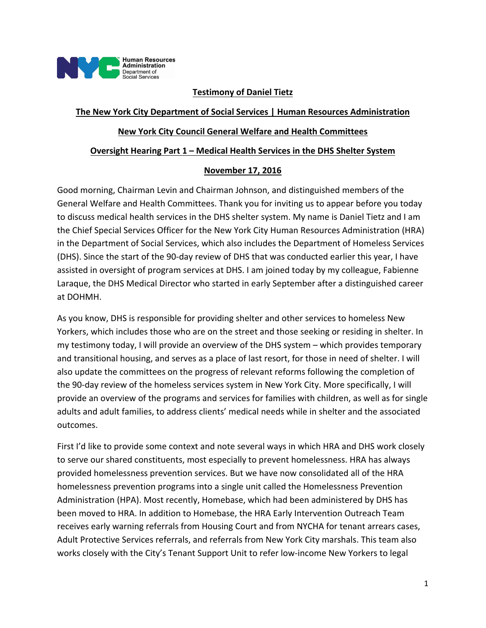

## **Testimony of Daniel Tietz**

## **The New York City Department of Social Services | Human Resources Administration**

### **New York City Council General Welfare and Health Committees**

#### **Oversight Hearing Part 1 – Medical Health Services in the DHS Shelter System**

#### **November 17, 2016**

Good morning, Chairman Levin and Chairman Johnson, and distinguished members of the General Welfare and Health Committees. Thank you for inviting us to appear before you today to discuss medical health services in the DHS shelter system. My name is Daniel Tietz and I am the Chief Special Services Officer for the New York City Human Resources Administration (HRA) in the Department of Social Services, which also includes the Department of Homeless Services (DHS). Since the start of the 90‐day review of DHS that was conducted earlier this year, I have assisted in oversight of program services at DHS. I am joined today by my colleague, Fabienne Laraque, the DHS Medical Director who started in early September after a distinguished career at DOHMH.

As you know, DHS is responsible for providing shelter and other services to homeless New Yorkers, which includes those who are on the street and those seeking or residing in shelter. In my testimony today, I will provide an overview of the DHS system – which provides temporary and transitional housing, and serves as a place of last resort, for those in need of shelter. I will also update the committees on the progress of relevant reforms following the completion of the 90-day review of the homeless services system in New York City. More specifically, I will provide an overview of the programs and services for families with children, as well as for single adults and adult families, to address clients' medical needs while in shelter and the associated outcomes.

First I'd like to provide some context and note several ways in which HRA and DHS work closely to serve our shared constituents, most especially to prevent homelessness. HRA has always provided homelessness prevention services. But we have now consolidated all of the HRA homelessness prevention programs into a single unit called the Homelessness Prevention Administration (HPA). Most recently, Homebase, which had been administered by DHS has been moved to HRA. In addition to Homebase, the HRA Early Intervention Outreach Team receives early warning referrals from Housing Court and from NYCHA for tenant arrears cases, Adult Protective Services referrals, and referrals from New York City marshals. This team also works closely with the City's Tenant Support Unit to refer low-income New Yorkers to legal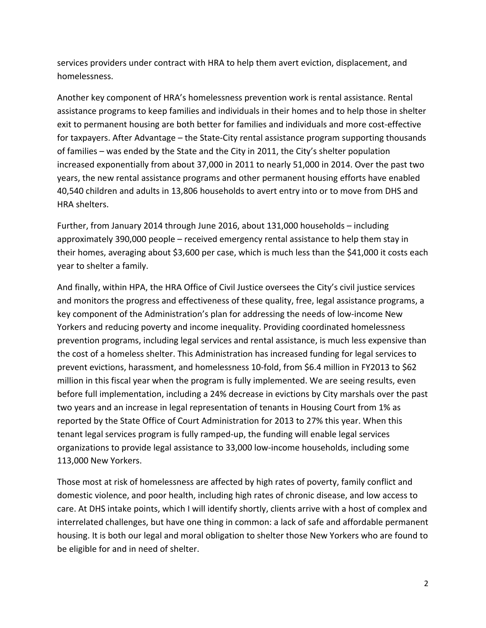services providers under contract with HRA to help them avert eviction, displacement, and homelessness.

Another key component of HRA's homelessness prevention work is rental assistance. Rental assistance programs to keep families and individuals in their homes and to help those in shelter exit to permanent housing are both better for families and individuals and more cost‐effective for taxpayers. After Advantage – the State‐City rental assistance program supporting thousands of families – was ended by the State and the City in 2011, the City's shelter population increased exponentially from about 37,000 in 2011 to nearly 51,000 in 2014. Over the past two years, the new rental assistance programs and other permanent housing efforts have enabled 40,540 children and adults in 13,806 households to avert entry into or to move from DHS and HRA shelters.

Further, from January 2014 through June 2016, about 131,000 households – including approximately 390,000 people – received emergency rental assistance to help them stay in their homes, averaging about \$3,600 per case, which is much less than the \$41,000 it costs each year to shelter a family.

And finally, within HPA, the HRA Office of Civil Justice oversees the City's civil justice services and monitors the progress and effectiveness of these quality, free, legal assistance programs, a key component of the Administration's plan for addressing the needs of low-income New Yorkers and reducing poverty and income inequality. Providing coordinated homelessness prevention programs, including legal services and rental assistance, is much less expensive than the cost of a homeless shelter. This Administration has increased funding for legal services to prevent evictions, harassment, and homelessness 10‐fold, from \$6.4 million in FY2013 to \$62 million in this fiscal year when the program is fully implemented. We are seeing results, even before full implementation, including a 24% decrease in evictions by City marshals over the past two years and an increase in legal representation of tenants in Housing Court from 1% as reported by the State Office of Court Administration for 2013 to 27% this year. When this tenant legal services program is fully ramped‐up, the funding will enable legal services organizations to provide legal assistance to 33,000 low‐income households, including some 113,000 New Yorkers.

Those most at risk of homelessness are affected by high rates of poverty, family conflict and domestic violence, and poor health, including high rates of chronic disease, and low access to care. At DHS intake points, which I will identify shortly, clients arrive with a host of complex and interrelated challenges, but have one thing in common: a lack of safe and affordable permanent housing. It is both our legal and moral obligation to shelter those New Yorkers who are found to be eligible for and in need of shelter.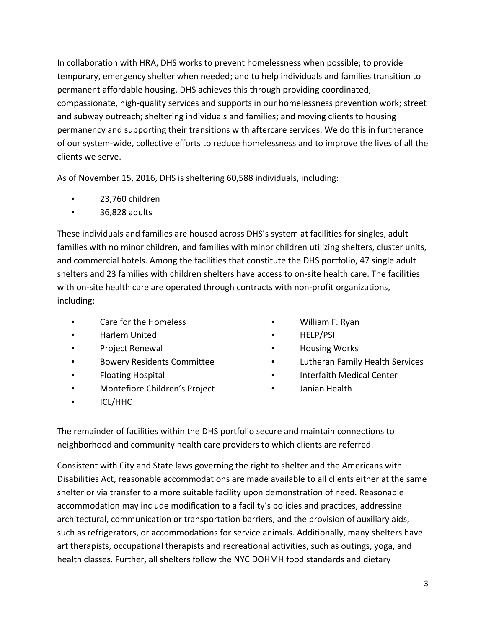In collaboration with HRA, DHS works to prevent homelessness when possible; to provide temporary, emergency shelter when needed; and to help individuals and families transition to permanent affordable housing. DHS achieves this through providing coordinated, compassionate, high‐quality services and supports in our homelessness prevention work; street and subway outreach; sheltering individuals and families; and moving clients to housing permanency and supporting their transitions with aftercare services. We do this in furtherance of our system‐wide, collective efforts to reduce homelessness and to improve the lives of all the clients we serve.

As of November 15, 2016, DHS is sheltering 60,588 individuals, including:

- 23,760 children
- 36,828 adults

These individuals and families are housed across DHS's system at facilities for singles, adult families with no minor children, and families with minor children utilizing shelters, cluster units, and commercial hotels. Among the facilities that constitute the DHS portfolio, 47 single adult shelters and 23 families with children shelters have access to on‐site health care. The facilities with on-site health care are operated through contracts with non-profit organizations, including:

- Care for the Homeless
- Harlem United
- Project Renewal
- Bowery Residents Committee
- Floating Hospital
- Montefiore Children's Project
- ICL/HHC
- William F. Ryan
- HELP/PSI
- Housing Works
- Lutheran Family Health Services
- Interfaith Medical Center
- Janian Health

The remainder of facilities within the DHS portfolio secure and maintain connections to neighborhood and community health care providers to which clients are referred.

Consistent with City and State laws governing the right to shelter and the Americans with Disabilities Act, reasonable accommodations are made available to all clients either at the same shelter or via transfer to a more suitable facility upon demonstration of need. Reasonable accommodation may include modification to a facility's policies and practices, addressing architectural, communication or transportation barriers, and the provision of auxiliary aids, such as refrigerators, or accommodations for service animals. Additionally, many shelters have art therapists, occupational therapists and recreational activities, such as outings, yoga, and health classes. Further, all shelters follow the NYC DOHMH food standards and dietary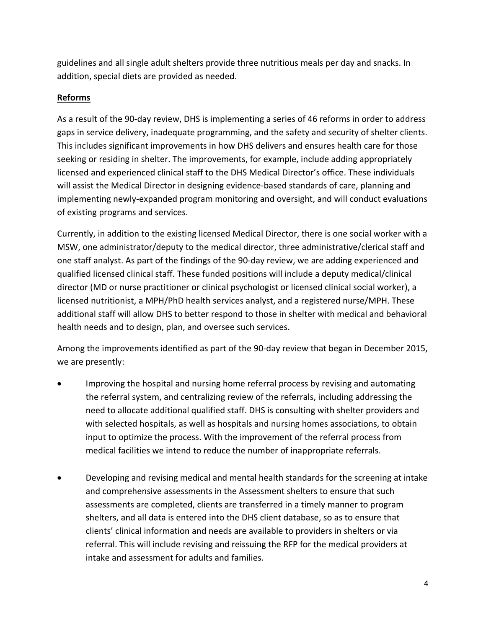guidelines and all single adult shelters provide three nutritious meals per day and snacks. In addition, special diets are provided as needed.

# **Reforms**

As a result of the 90‐day review, DHS is implementing a series of 46 reforms in order to address gaps in service delivery, inadequate programming, and the safety and security of shelter clients. This includes significant improvements in how DHS delivers and ensures health care for those seeking or residing in shelter. The improvements, for example, include adding appropriately licensed and experienced clinical staff to the DHS Medical Director's office. These individuals will assist the Medical Director in designing evidence-based standards of care, planning and implementing newly‐expanded program monitoring and oversight, and will conduct evaluations of existing programs and services.

Currently, in addition to the existing licensed Medical Director, there is one social worker with a MSW, one administrator/deputy to the medical director, three administrative/clerical staff and one staff analyst. As part of the findings of the 90‐day review, we are adding experienced and qualified licensed clinical staff. These funded positions will include a deputy medical/clinical director (MD or nurse practitioner or clinical psychologist or licensed clinical social worker), a licensed nutritionist, a MPH/PhD health services analyst, and a registered nurse/MPH. These additional staff will allow DHS to better respond to those in shelter with medical and behavioral health needs and to design, plan, and oversee such services.

Among the improvements identified as part of the 90‐day review that began in December 2015, we are presently:

- Improving the hospital and nursing home referral process by revising and automating the referral system, and centralizing review of the referrals, including addressing the need to allocate additional qualified staff. DHS is consulting with shelter providers and with selected hospitals, as well as hospitals and nursing homes associations, to obtain input to optimize the process. With the improvement of the referral process from medical facilities we intend to reduce the number of inappropriate referrals.
- Developing and revising medical and mental health standards for the screening at intake and comprehensive assessments in the Assessment shelters to ensure that such assessments are completed, clients are transferred in a timely manner to program shelters, and all data is entered into the DHS client database, so as to ensure that clients' clinical information and needs are available to providers in shelters or via referral. This will include revising and reissuing the RFP for the medical providers at intake and assessment for adults and families.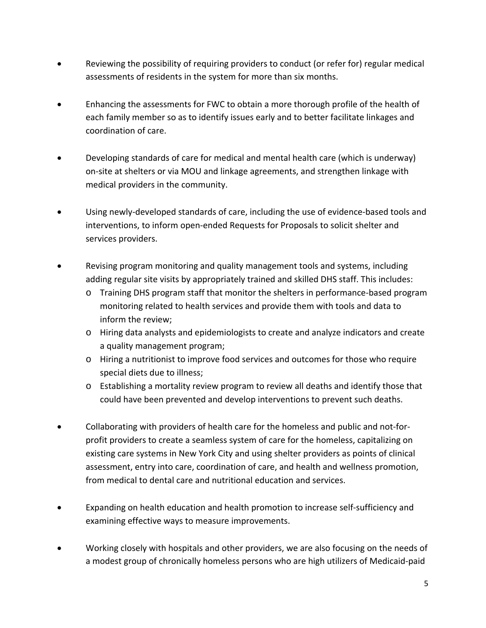- Reviewing the possibility of requiring providers to conduct (or refer for) regular medical assessments of residents in the system for more than six months.
- Enhancing the assessments for FWC to obtain a more thorough profile of the health of each family member so as to identify issues early and to better facilitate linkages and coordination of care.
- Developing standards of care for medical and mental health care (which is underway) on‐site at shelters or via MOU and linkage agreements, and strengthen linkage with medical providers in the community.
- Using newly‐developed standards of care, including the use of evidence‐based tools and interventions, to inform open‐ended Requests for Proposals to solicit shelter and services providers.
- Revising program monitoring and quality management tools and systems, including adding regular site visits by appropriately trained and skilled DHS staff. This includes:
	- o Training DHS program staff that monitor the shelters in performance‐based program monitoring related to health services and provide them with tools and data to inform the review;
	- o Hiring data analysts and epidemiologists to create and analyze indicators and create a quality management program;
	- o Hiring a nutritionist to improve food services and outcomes for those who require special diets due to illness;
	- o Establishing a mortality review program to review all deaths and identify those that could have been prevented and develop interventions to prevent such deaths.
- Collaborating with providers of health care for the homeless and public and not‐for‐ profit providers to create a seamless system of care for the homeless, capitalizing on existing care systems in New York City and using shelter providers as points of clinical assessment, entry into care, coordination of care, and health and wellness promotion, from medical to dental care and nutritional education and services.
- Expanding on health education and health promotion to increase self‐sufficiency and examining effective ways to measure improvements.
- Working closely with hospitals and other providers, we are also focusing on the needs of a modest group of chronically homeless persons who are high utilizers of Medicaid‐paid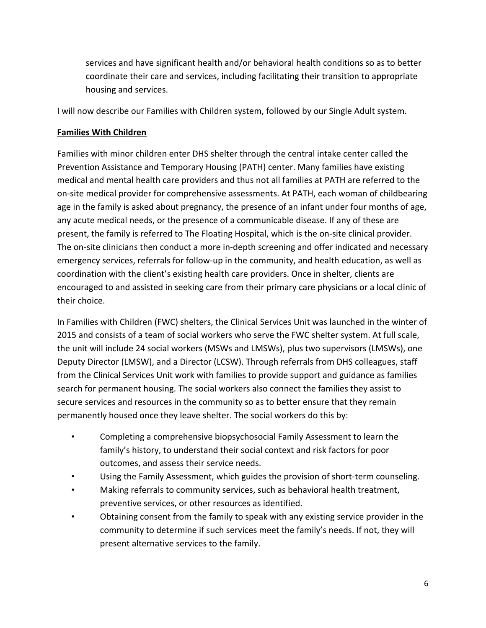services and have significant health and/or behavioral health conditions so as to better coordinate their care and services, including facilitating their transition to appropriate housing and services.

I will now describe our Families with Children system, followed by our Single Adult system.

# **Families With Children**

Families with minor children enter DHS shelter through the central intake center called the Prevention Assistance and Temporary Housing (PATH) center. Many families have existing medical and mental health care providers and thus not all families at PATH are referred to the on‐site medical provider for comprehensive assessments. At PATH, each woman of childbearing age in the family is asked about pregnancy, the presence of an infant under four months of age, any acute medical needs, or the presence of a communicable disease. If any of these are present, the family is referred to The Floating Hospital, which is the on‐site clinical provider. The on‐site clinicians then conduct a more in‐depth screening and offer indicated and necessary emergency services, referrals for follow‐up in the community, and health education, as well as coordination with the client's existing health care providers. Once in shelter, clients are encouraged to and assisted in seeking care from their primary care physicians or a local clinic of their choice.

In Families with Children (FWC) shelters, the Clinical Services Unit was launched in the winter of 2015 and consists of a team of social workers who serve the FWC shelter system. At full scale, the unit will include 24 social workers (MSWs and LMSWs), plus two supervisors (LMSWs), one Deputy Director (LMSW), and a Director (LCSW). Through referrals from DHS colleagues, staff from the Clinical Services Unit work with families to provide support and guidance as families search for permanent housing. The social workers also connect the families they assist to secure services and resources in the community so as to better ensure that they remain permanently housed once they leave shelter. The social workers do this by:

- Completing a comprehensive biopsychosocial Family Assessment to learn the family's history, to understand their social context and risk factors for poor outcomes, and assess their service needs.
- Using the Family Assessment, which guides the provision of short‐term counseling.
- Making referrals to community services, such as behavioral health treatment, preventive services, or other resources as identified.
- Obtaining consent from the family to speak with any existing service provider in the community to determine if such services meet the family's needs. If not, they will present alternative services to the family.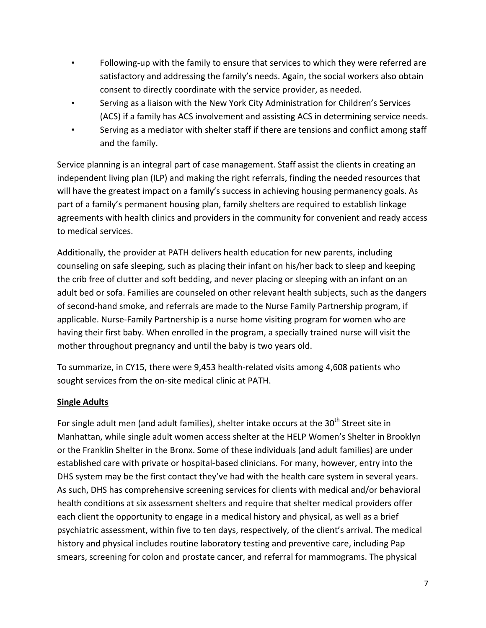- Following-up with the family to ensure that services to which they were referred are satisfactory and addressing the family's needs. Again, the social workers also obtain consent to directly coordinate with the service provider, as needed.
- Serving as a liaison with the New York City Administration for Children's Services (ACS) if a family has ACS involvement and assisting ACS in determining service needs.
- Serving as a mediator with shelter staff if there are tensions and conflict among staff and the family.

Service planning is an integral part of case management. Staff assist the clients in creating an independent living plan (ILP) and making the right referrals, finding the needed resources that will have the greatest impact on a family's success in achieving housing permanency goals. As part of a family's permanent housing plan, family shelters are required to establish linkage agreements with health clinics and providers in the community for convenient and ready access to medical services.

Additionally, the provider at PATH delivers health education for new parents, including counseling on safe sleeping, such as placing their infant on his/her back to sleep and keeping the crib free of clutter and soft bedding, and never placing or sleeping with an infant on an adult bed or sofa. Families are counseled on other relevant health subjects, such as the dangers of second‐hand smoke, and referrals are made to the Nurse Family Partnership program, if applicable. Nurse‐Family Partnership is a nurse home visiting program for women who are having their first baby. When enrolled in the program, a specially trained nurse will visit the mother throughout pregnancy and until the baby is two years old.

To summarize, in CY15, there were 9,453 health‐related visits among 4,608 patients who sought services from the on-site medical clinic at PATH.

# **Single Adults**

For single adult men (and adult families), shelter intake occurs at the  $30<sup>th</sup>$  Street site in Manhattan, while single adult women access shelter at the HELP Women's Shelter in Brooklyn or the Franklin Shelter in the Bronx. Some of these individuals (and adult families) are under established care with private or hospital‐based clinicians. For many, however, entry into the DHS system may be the first contact they've had with the health care system in several years. As such, DHS has comprehensive screening services for clients with medical and/or behavioral health conditions at six assessment shelters and require that shelter medical providers offer each client the opportunity to engage in a medical history and physical, as well as a brief psychiatric assessment, within five to ten days, respectively, of the client's arrival. The medical history and physical includes routine laboratory testing and preventive care, including Pap smears, screening for colon and prostate cancer, and referral for mammograms. The physical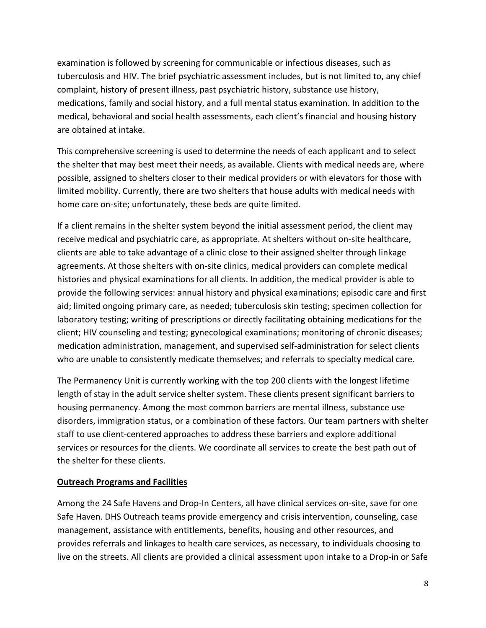examination is followed by screening for communicable or infectious diseases, such as tuberculosis and HIV. The brief psychiatric assessment includes, but is not limited to, any chief complaint, history of present illness, past psychiatric history, substance use history, medications, family and social history, and a full mental status examination. In addition to the medical, behavioral and social health assessments, each client's financial and housing history are obtained at intake.

This comprehensive screening is used to determine the needs of each applicant and to select the shelter that may best meet their needs, as available. Clients with medical needs are, where possible, assigned to shelters closer to their medical providers or with elevators for those with limited mobility. Currently, there are two shelters that house adults with medical needs with home care on-site; unfortunately, these beds are quite limited.

If a client remains in the shelter system beyond the initial assessment period, the client may receive medical and psychiatric care, as appropriate. At shelters without on‐site healthcare, clients are able to take advantage of a clinic close to their assigned shelter through linkage agreements. At those shelters with on‐site clinics, medical providers can complete medical histories and physical examinations for all clients. In addition, the medical provider is able to provide the following services: annual history and physical examinations; episodic care and first aid; limited ongoing primary care, as needed; tuberculosis skin testing; specimen collection for laboratory testing; writing of prescriptions or directly facilitating obtaining medications for the client; HIV counseling and testing; gynecological examinations; monitoring of chronic diseases; medication administration, management, and supervised self‐administration for select clients who are unable to consistently medicate themselves; and referrals to specialty medical care.

The Permanency Unit is currently working with the top 200 clients with the longest lifetime length of stay in the adult service shelter system. These clients present significant barriers to housing permanency. Among the most common barriers are mental illness, substance use disorders, immigration status, or a combination of these factors. Our team partners with shelter staff to use client‐centered approaches to address these barriers and explore additional services or resources for the clients. We coordinate all services to create the best path out of the shelter for these clients.

## **Outreach Programs and Facilities**

Among the 24 Safe Havens and Drop-In Centers, all have clinical services on-site, save for one Safe Haven. DHS Outreach teams provide emergency and crisis intervention, counseling, case management, assistance with entitlements, benefits, housing and other resources, and provides referrals and linkages to health care services, as necessary, to individuals choosing to live on the streets. All clients are provided a clinical assessment upon intake to a Drop-in or Safe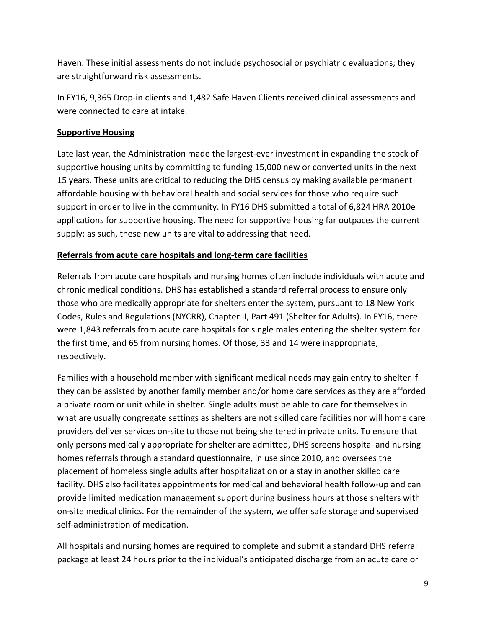Haven. These initial assessments do not include psychosocial or psychiatric evaluations; they are straightforward risk assessments.

In FY16, 9,365 Drop‐in clients and 1,482 Safe Haven Clients received clinical assessments and were connected to care at intake.

## **Supportive Housing**

Late last year, the Administration made the largest-ever investment in expanding the stock of supportive housing units by committing to funding 15,000 new or converted units in the next 15 years. These units are critical to reducing the DHS census by making available permanent affordable housing with behavioral health and social services for those who require such support in order to live in the community. In FY16 DHS submitted a total of 6,824 HRA 2010e applications for supportive housing. The need for supportive housing far outpaces the current supply; as such, these new units are vital to addressing that need.

## **Referrals from acute care hospitals and long‐term care facilities**

Referrals from acute care hospitals and nursing homes often include individuals with acute and chronic medical conditions. DHS has established a standard referral process to ensure only those who are medically appropriate for shelters enter the system, pursuant to 18 New York Codes, Rules and Regulations (NYCRR), Chapter II, Part 491 (Shelter for Adults). In FY16, there were 1,843 referrals from acute care hospitals for single males entering the shelter system for the first time, and 65 from nursing homes. Of those, 33 and 14 were inappropriate, respectively.

Families with a household member with significant medical needs may gain entry to shelter if they can be assisted by another family member and/or home care services as they are afforded a private room or unit while in shelter. Single adults must be able to care for themselves in what are usually congregate settings as shelters are not skilled care facilities nor will home care providers deliver services on‐site to those not being sheltered in private units. To ensure that only persons medically appropriate for shelter are admitted, DHS screens hospital and nursing homes referrals through a standard questionnaire, in use since 2010, and oversees the placement of homeless single adults after hospitalization or a stay in another skilled care facility. DHS also facilitates appointments for medical and behavioral health follow‐up and can provide limited medication management support during business hours at those shelters with on-site medical clinics. For the remainder of the system, we offer safe storage and supervised self‐administration of medication.

All hospitals and nursing homes are required to complete and submit a standard DHS referral package at least 24 hours prior to the individual's anticipated discharge from an acute care or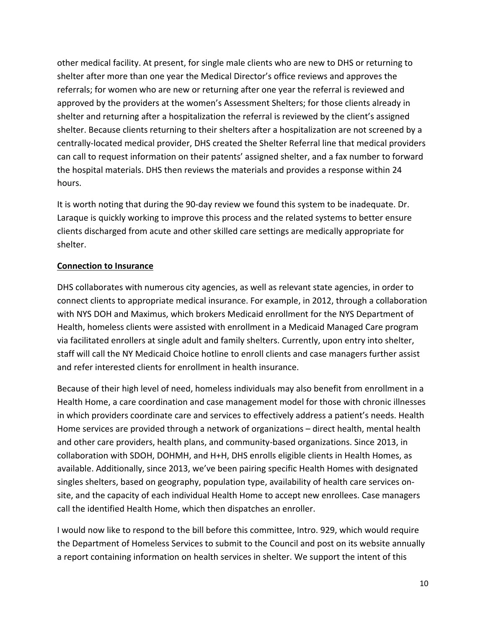other medical facility. At present, for single male clients who are new to DHS or returning to shelter after more than one year the Medical Director's office reviews and approves the referrals; for women who are new or returning after one year the referral is reviewed and approved by the providers at the women's Assessment Shelters; for those clients already in shelter and returning after a hospitalization the referral is reviewed by the client's assigned shelter. Because clients returning to their shelters after a hospitalization are not screened by a centrally‐located medical provider, DHS created the Shelter Referral line that medical providers can call to request information on their patents' assigned shelter, and a fax number to forward the hospital materials. DHS then reviews the materials and provides a response within 24 hours.

It is worth noting that during the 90‐day review we found this system to be inadequate. Dr. Laraque is quickly working to improve this process and the related systems to better ensure clients discharged from acute and other skilled care settings are medically appropriate for shelter.

# **Connection to Insurance**

DHS collaborates with numerous city agencies, as well as relevant state agencies, in order to connect clients to appropriate medical insurance. For example, in 2012, through a collaboration with NYS DOH and Maximus, which brokers Medicaid enrollment for the NYS Department of Health, homeless clients were assisted with enrollment in a Medicaid Managed Care program via facilitated enrollers at single adult and family shelters. Currently, upon entry into shelter, staff will call the NY Medicaid Choice hotline to enroll clients and case managers further assist and refer interested clients for enrollment in health insurance.

Because of their high level of need, homeless individuals may also benefit from enrollment in a Health Home, a care coordination and case management model for those with chronic illnesses in which providers coordinate care and services to effectively address a patient's needs. Health Home services are provided through a network of organizations – direct health, mental health and other care providers, health plans, and community-based organizations. Since 2013, in collaboration with SDOH, DOHMH, and H+H, DHS enrolls eligible clients in Health Homes, as available. Additionally, since 2013, we've been pairing specific Health Homes with designated singles shelters, based on geography, population type, availability of health care services on‐ site, and the capacity of each individual Health Home to accept new enrollees. Case managers call the identified Health Home, which then dispatches an enroller.

I would now like to respond to the bill before this committee, Intro. 929, which would require the Department of Homeless Services to submit to the Council and post on its website annually a report containing information on health services in shelter. We support the intent of this